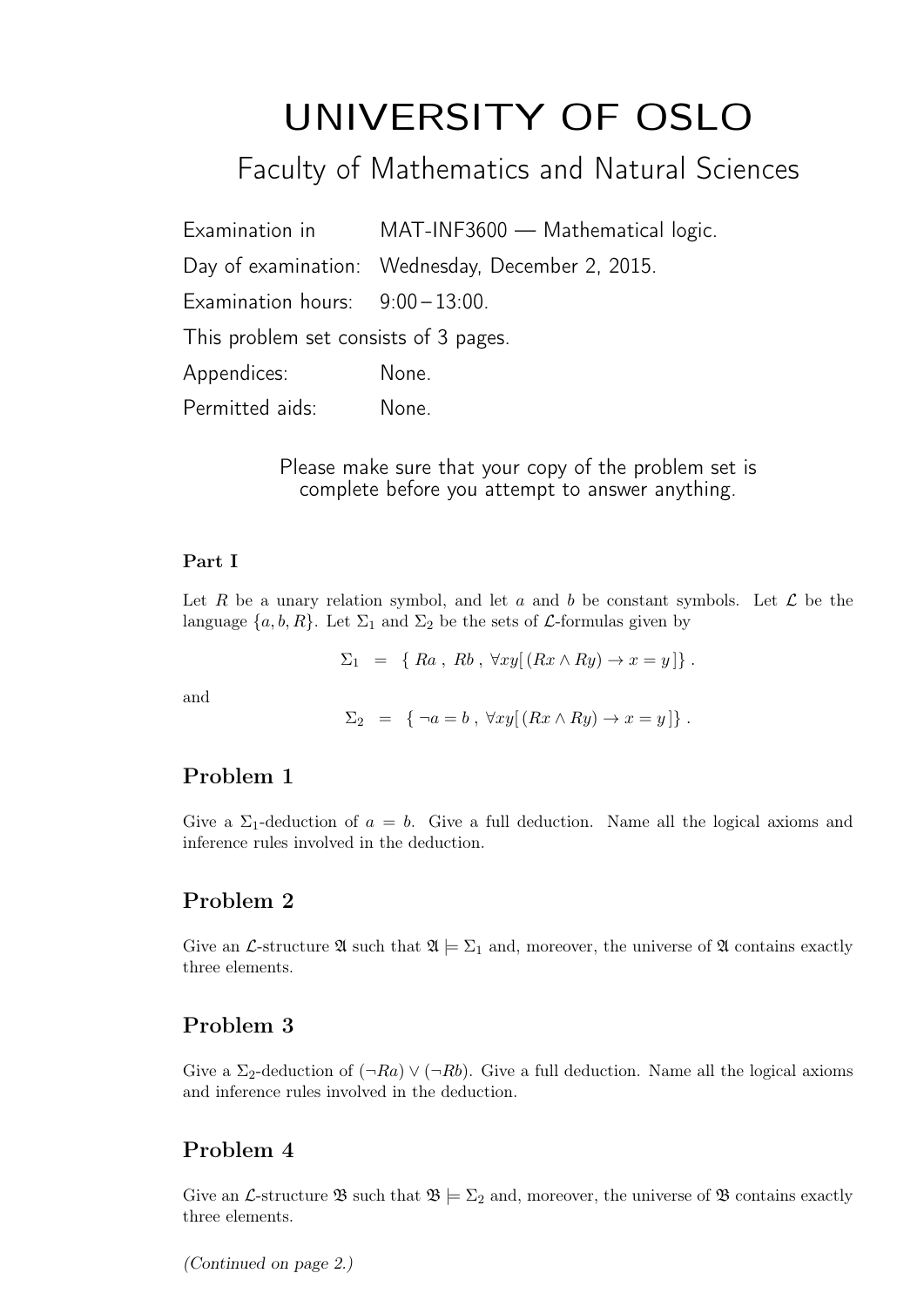# UNIVERSITY OF OSLO

Faculty of Mathematics and Natural Sciences

| Examination in                        | MAT-INF3600 - Mathematical logic.                |
|---------------------------------------|--------------------------------------------------|
|                                       | Day of examination: Wednesday, December 2, 2015. |
| Examination hours: $9:00-13:00$ .     |                                                  |
| This problem set consists of 3 pages. |                                                  |
| Appendices:                           | None.                                            |
| Permitted aids:                       | None.                                            |

Please make sure that your copy of the problem set is complete before you attempt to answer anything.

#### Part I

Let R be a unary relation symbol, and let a and b be constant symbols. Let  $\mathcal L$  be the language  $\{a, b, R\}$ . Let  $\Sigma_1$  and  $\Sigma_2$  be the sets of *L*-formulas given by

 $\Sigma_1 = \{ Ra, Rb, \forall xy [(Rx \wedge Ry) \rightarrow x = y] \}.$ 

and

$$
\Sigma_2 = \{ \neg a = b , \forall xy [ (Rx \wedge Ry) \rightarrow x = y ] \} .
$$

# Problem 1

Give a  $\Sigma_1$ -deduction of  $a = b$ . Give a full deduction. Name all the logical axioms and inference rules involved in the deduction.

# Problem 2

Give an L-structure  $\mathfrak{A}$  such that  $\mathfrak{A} \models \Sigma_1$  and, moreover, the universe of  $\mathfrak{A}$  contains exactly three elements.

# Problem 3

Give a  $\Sigma_2$ -deduction of  $(\neg Ra) \vee (\neg Rb)$ . Give a full deduction. Name all the logical axioms and inference rules involved in the deduction.

# Problem 4

Give an L-structure  $\mathfrak{B}$  such that  $\mathfrak{B} \models \Sigma_2$  and, moreover, the universe of  $\mathfrak{B}$  contains exactly three elements.

(Continued on page 2.)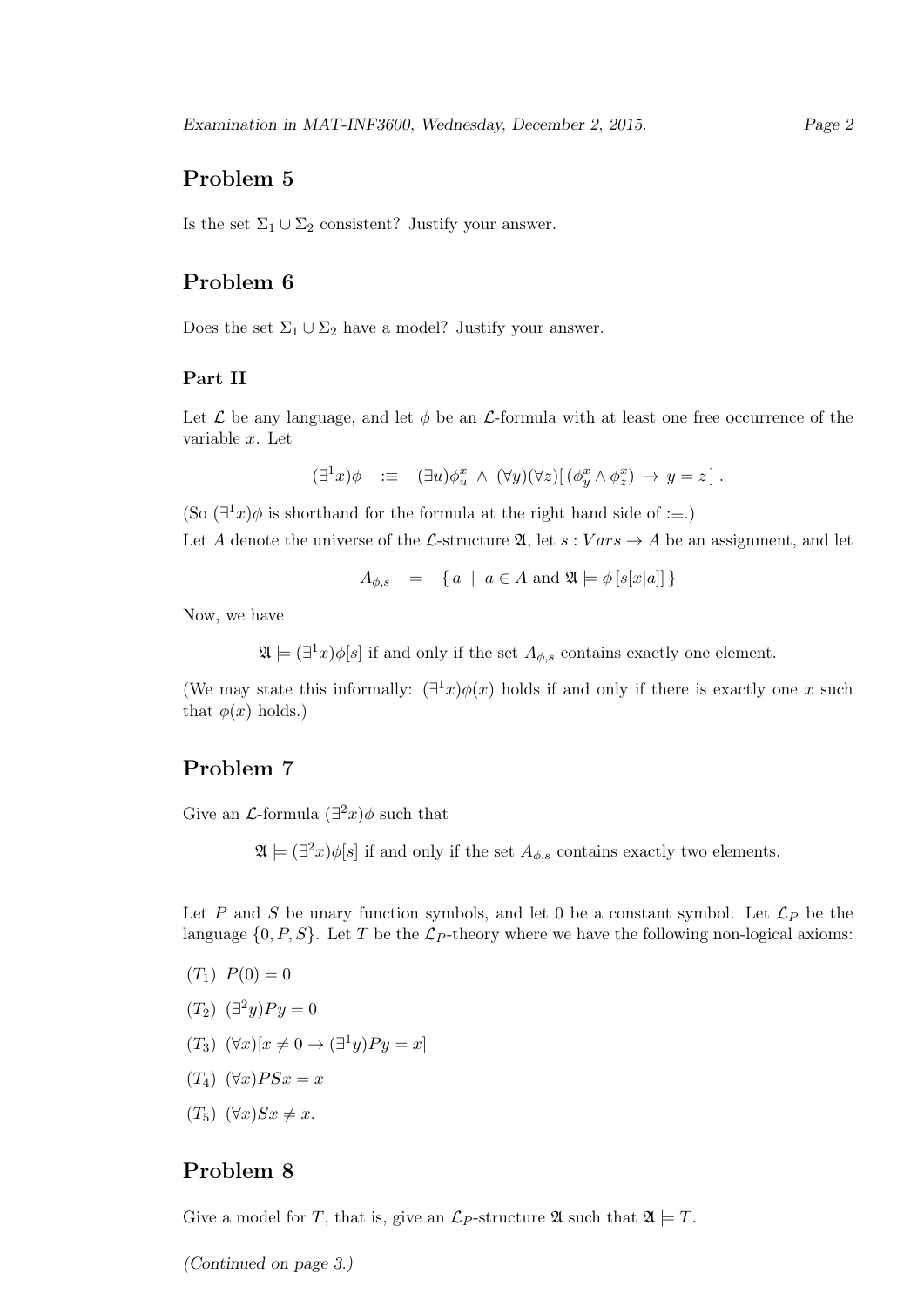# Problem 5

Is the set  $\Sigma_1 \cup \Sigma_2$  consistent? Justify your answer.

# Problem 6

Does the set  $\Sigma_1 \cup \Sigma_2$  have a model? Justify your answer.

#### Part II

Let  $\mathcal L$  be any language, and let  $\phi$  be an  $\mathcal L$ -formula with at least one free occurrence of the variable x. Let

 $(\exists^1 x)\phi \ \ \colon\equiv\ \ (\exists u)\phi_u^x \ \wedge\ (\forall y)(\forall z)[(\phi_y^x \wedge \phi_z^x) \ \rightarrow\ y = z].$ 

(So  $(\exists^1 x)\phi$  is shorthand for the formula at the right hand side of : $\equiv$ .)

Let A denote the universe of the L-structure  $\mathfrak{A}$ , let  $s: Vars \to A$  be an assignment, and let

$$
A_{\phi,s} = \{ a \mid a \in A \text{ and } \mathfrak{A} \models \phi \left[ s[x|a] \right] \}
$$

Now, we have

 $\mathfrak{A} \models (\exists^1 x)\phi[s]$  if and only if the set  $A_{\phi,s}$  contains exactly one element.

(We may state this informally:  $(\exists^1 x)\phi(x)$  holds if and only if there is exactly one x such that  $\phi(x)$  holds.)

# Problem 7

Give an  $\mathcal{L}$ -formula  $(\exists^2 x)\phi$  such that

 $\mathfrak{A} \models (\exists^2 x) \phi[s]$  if and only if the set  $A_{\phi,s}$  contains exactly two elements.

Let P and S be unary function symbols, and let 0 be a constant symbol. Let  $\mathcal{L}_P$  be the language  $\{0, P, S\}$ . Let T be the  $\mathcal{L}_P$ -theory where we have the following non-logical axioms:

- $(T_1) P(0) = 0$
- $(T_2) \; (\exists^2 y) P y = 0$
- $(T_3) \ (\forall x)[x \neq 0 \rightarrow (\exists^1 y)Py = x]$
- $(T_4)$   $(\forall x) PSx = x$
- $(T_5)$   $(\forall x)Sx \neq x$ .

### Problem 8

Give a model for T, that is, give an  $\mathcal{L}_P$ -structure  $\mathfrak{A}$  such that  $\mathfrak{A} \models T$ .

(Continued on page 3.)